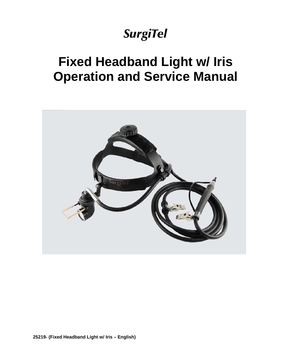# *SurgiTel*

# **Fixed Headband Light w/ Iris Operation and Service Manual**

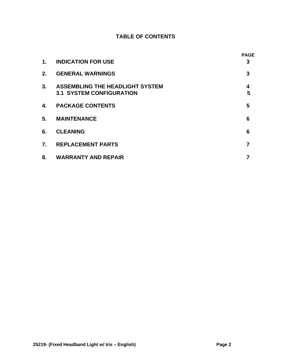## **TABLE OF CONTENTS**

|                  |                                                                           | <b>PAGE</b> |
|------------------|---------------------------------------------------------------------------|-------------|
| 1.               | <b>INDICATION FOR USE</b>                                                 | 3           |
| 2.               | <b>GENERAL WARNINGS</b>                                                   | 3           |
| 3.               | <b>ASSEMBLING THE HEADLIGHT SYSTEM</b><br><b>3.1 SYSTEM CONFIGURATION</b> | 4<br>5      |
| 4.               | <b>PACKAGE CONTENTS</b>                                                   | 5           |
| 5.               | <b>MAINTENANCE</b>                                                        | 6           |
| 6.               | <b>CLEANING</b>                                                           | 6           |
| $\overline{7}$ . | <b>REPLACEMENT PARTS</b>                                                  |             |
| 8.               | <b>WARRANTY AND REPAIR</b>                                                |             |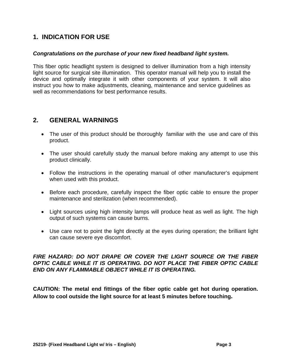# **1. INDICATION FOR USE**

### *Congratulations on the purchase of your new fixed headband light system.*

This fiber optic headlight system is designed to deliver illumination from a high intensity light source for surgical site illumination. This operator manual will help you to install the device and optimally integrate it with other components of your system. It will also instruct you how to make adjustments, cleaning, maintenance and service guidelines as well as recommendations for best performance results.

## **2. GENERAL WARNINGS**

- The user of this product should be thoroughly familiar with theuse and care of this product.
- The user should carefully study the manual before making any attempt to use this product clinically.
- Follow the instructions in the operating manual of other manufacturer's equipment when used with this product.
- Before each procedure, carefully inspect the fiber optic cable to ensure the proper maintenance and sterilization (when recommended).
- Light sources using high intensity lamps will produce heat as well as light. The high output of such systems can cause burns.
- Use care not to point the light directly at the eyes during operation; the brilliant light can cause severe eye discomfort.

### *FIRE HAZARD: DO NOT DRAPE OR COVER THE LIGHT SOURCE OR THE FIBER OPTIC CABLE WHILE IT IS OPERATING. DO NOT PLACE THE FIBER OPTIC CABLE END ON ANY FLAMMABLE OBJECT WHILE IT IS OPERATING.*

**CAUTION: The metal end fittings of the fiber optic cable get hot during operation. Allow to cool outside the light source for at least 5 minutes before touching.**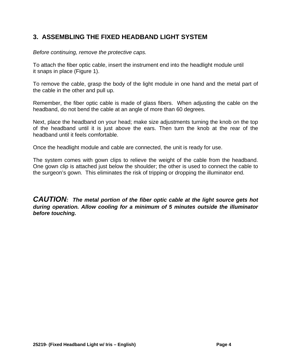# **3. ASSEMBLING THE FIXED HEADBAND LIGHT SYSTEM**

*Before continuing, remove the protective caps.* 

To attach the fiber optic cable, insert the instrument end into the headlight module until it snaps in place (Figure 1).

To remove the cable, grasp the body of the light module in one hand and the metal part of the cable in the other and pull up.

Remember, the fiber optic cable is made of glass fibers. When adjusting the cable on the headband, do not bend the cable at an angle of more than 60 degrees.

Next, place the headband on your head; make size adjustments turning the knob on the top of the headband until it is just above the ears. Then turn the knob at the rear of the headband until it feels comfortable.

Once the headlight module and cable are connected, the unit is ready for use.

The system comes with gown clips to relieve the weight of the cable from the headband. One gown clip is attached just below the shoulder; the other is used to connect the cable to the surgeon's gown. This eliminates the risk of tripping or dropping the illuminator end.

*CAUTION: The metal portion of the fiber optic cable at the light source gets hot during operation. Allow cooling for a minimum of 5 minutes outside the illuminator before touching.*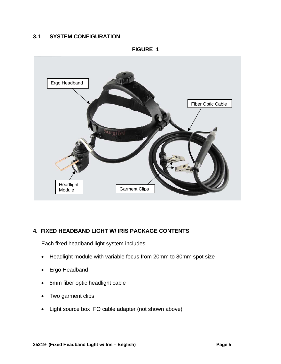## **3.1 SYSTEM CONFIGURATION**



## **4. FIXED HEADBAND LIGHT W/ IRIS PACKAGE CONTENTS**

Each fixed headband light system includes:

- Headlight module with variable focus from 20mm to 80mm spot size
- Ergo Headband
- 5mm fiber optic headlight cable
- Two garment clips
- Light source box FO cable adapter (not shown above)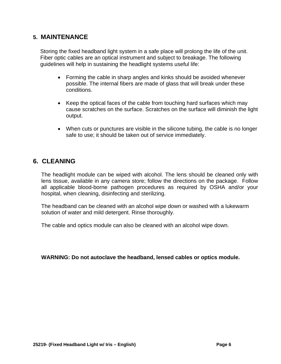## **5. MAINTENANCE**

Storing the fixed headband light system in a safe place will prolong the life of the unit. Fiber optic cables are an optical instrument and subject to breakage. The following guidelines will help in sustaining the headlight systems useful life:

- Forming the cable in sharp angles and kinks should be avoided whenever possible. The internal fibers are made of glass that will break under these conditions.
- Keep the optical faces of the cable from touching hard surfaces which may cause scratches on the surface. Scratches on the surface will diminish the light output.
- When cuts or punctures are visible in the silicone tubing, the cable is no longer safe to use; it should be taken out of service immediately.

## **6. CLEANING**

The headlight module can be wiped with alcohol. The lens should be cleaned only with lens tissue, available in any camera store; follow the directions on the package. Follow all applicable blood-borne pathogen procedures as required by OSHA and/or your hospital, when cleaning, disinfecting and sterilizing.

The headband can be cleaned with an alcohol wipe down or washed with a lukewarm solution of water and mild detergent. Rinse thoroughly.

The cable and optics module can also be cleaned with an alcohol wipe down.

**WARNING: Do not autoclave the headband, lensed cables or optics module.**